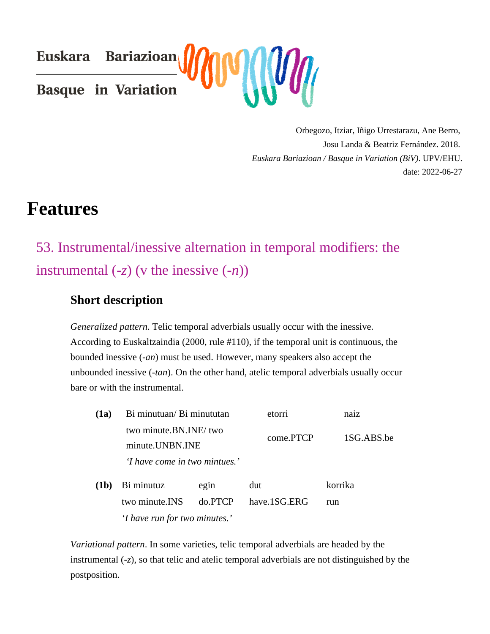Orbegozo, Itziar, Iñigo Urrestarazu, Ane Berro, Josu Landa & Beatriz Fernández. 2018. [Euskara Bariazioan / Basque in Variation \(B](http://basdisyn.net/Bas&Be/biv/?h=en&o=properties&id=34)iV) PV/EHU. date: 2022-06-27

# Features

# 53. Instrumental/inessive alternation in temporal modifiers: the instrumental  $(z)$  (v the inessive- $(h)$ )

### Short description

Generalized patternTelic temporal adverbials usually occur with the inessive. According to Euskaltzaindia (2000, rule #110), if the temporal unit is continuous, the bounded inessive (an) must be used. However, many speakers also accept the unbounded inessivetan). On the other hand, atelic temporal adverbials usually occur bare or with the instrumental.

| (1a) | Bi minutuan/ Bi minututan                | etorri    | naiz       |
|------|------------------------------------------|-----------|------------|
|      | two minute.BN.INE/two<br>minute.UNBN.INE | come.PTCP | 1SG.ABS.be |
|      | 'I have come in two mintues.'            |           |            |

(1b) Bi minutuz egin dut korrika two minute.INS do.PTCP have.1SG.ERG run 'I have run for two minutes.'

Variational pattern. In some varieties, telic temporal adverbials are headed by the instrumental (z), so that telic and atelic temporal adverbials are not distinguished by the postposition.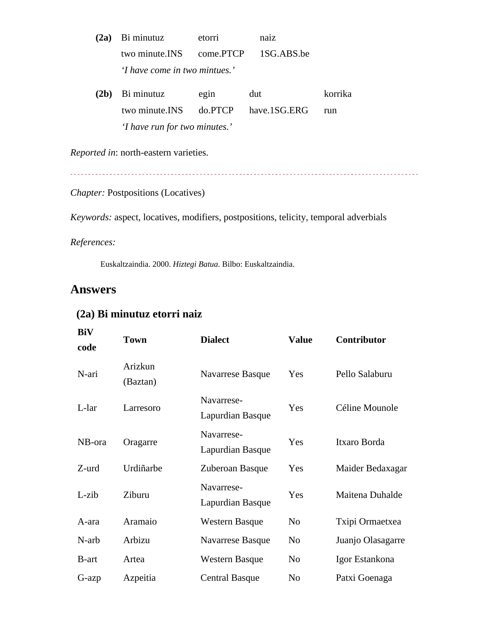- (2a) Bi minutuz etorri naiz two minute.INS come.PTCP 1SG.ABS.be 'I have come in two mintues.'
- (2b) Bi minutuz egin dut korrika two minute.INS do.PTCP have.1SG.ERG run 'I have run for two minutes.'

Reported innorth-eastern varieties.

Chapter: Postpositions (Locatives)

Keywords: aspect, locatives, modifiers, postpositions, telicity, temporal adverbials

References:

Euskaltzaindia. 2000 Hiztegi Batua Bilbo: Euskaltzaindia.

#### Answers

| BiV<br>code  | Town                | <b>Dialect</b>                 | Value | Contributor            |
|--------------|---------------------|--------------------------------|-------|------------------------|
| N-ari        | Arizkun<br>(Baztan) | Navarrese Basque               | Yes   | Pello Salaburu         |
| L-lar        | Larresoro           | Navarrese-<br>Lapurdian Basque | Yes   | Céline Mounole         |
| NB-ora       | Oragarre            | Navarrese-<br>Lapurdian Basque | Yes   | Itxaro Borda           |
| Z-urd        | Urdiñarbe           | Zuberoan Basque                | Yes   | Maider Bedaxagar       |
| $L$ -zib     | Ziburu              | Navarrese-<br>Lapurdian Basque | Yes   | <b>Maitena Duhalde</b> |
| A-ara        | Aramaio             | Western Basque                 | No    | Txipi Ormaetxea        |
| N-arb        | Arbizu              | Navarrese Basque               | No.   | Juanjo Olasagarre      |
| <b>B-art</b> | Artea               | Western Basque                 | No.   | Igor Estankona         |
| G-azp        | Azpeitia            | <b>Central Basque</b>          | No    | Patxi Goenaga          |

#### (2a) Bi minutuz etorri naiz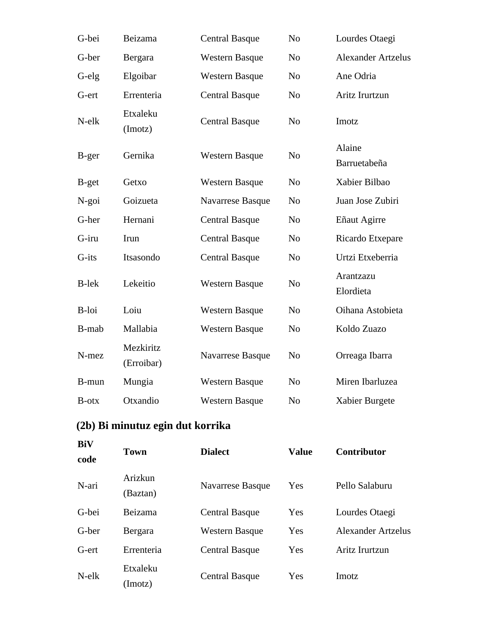| G-bei        | Beizama                 | <b>Central Basque</b> | N <sub>o</sub> | Lourdes Otaegi            |
|--------------|-------------------------|-----------------------|----------------|---------------------------|
| G-ber        | Bergara                 | <b>Western Basque</b> | N <sub>o</sub> | <b>Alexander Artzelus</b> |
| G-elg        | Elgoibar                | <b>Western Basque</b> | N <sub>o</sub> | Ane Odria                 |
| G-ert        | Errenteria              | <b>Central Basque</b> | N <sub>o</sub> | Aritz Irurtzun            |
| N-elk        | Etxaleku<br>(Imotz)     | <b>Central Basque</b> | N <sub>o</sub> | Imotz                     |
| B-ger        | Gernika                 | <b>Western Basque</b> | N <sub>o</sub> | Alaine<br>Barruetabeña    |
| B-get        | Getxo                   | <b>Western Basque</b> | N <sub>o</sub> | Xabier Bilbao             |
| N-goi        | Goizueta                | Navarrese Basque      | N <sub>o</sub> | Juan Jose Zubiri          |
| G-her        | Hernani                 | <b>Central Basque</b> | N <sub>o</sub> | Eñaut Agirre              |
| G-iru        | Irun                    | <b>Central Basque</b> | N <sub>o</sub> | Ricardo Etxepare          |
| G-its        | Itsasondo               | <b>Central Basque</b> | N <sub>o</sub> | Urtzi Etxeberria          |
| <b>B-lek</b> | Lekeitio                | <b>Western Basque</b> | N <sub>o</sub> | Arantzazu<br>Elordieta    |
| B-loi        | Loiu                    | <b>Western Basque</b> | N <sub>o</sub> | Oihana Astobieta          |
| B-mab        | Mallabia                | <b>Western Basque</b> | N <sub>o</sub> | Koldo Zuazo               |
| N-mez        | Mezkiritz<br>(Erroibar) | Navarrese Basque      | N <sub>o</sub> | Orreaga Ibarra            |
| B-mun        | Mungia                  | <b>Western Basque</b> | N <sub>o</sub> | Miren Ibarluzea           |
| B-otx        | Otxandio                | <b>Western Basque</b> | N <sub>o</sub> | Xabier Burgete            |
|              |                         |                       |                |                           |

### **(2b) Bi minutuz egin dut korrika**

| <b>BiV</b><br>code | <b>Town</b>         | <b>Dialect</b>        | <b>Value</b> | <b>Contributor</b> |
|--------------------|---------------------|-----------------------|--------------|--------------------|
| N-ari              | Arizkun<br>(Baztan) | Navarrese Basque      | Yes          | Pello Salaburu     |
| G-bei              | Beizama             | <b>Central Basque</b> | Yes          | Lourdes Otaegi     |
| G-ber              | Bergara             | <b>Western Basque</b> | Yes          | Alexander Artzelus |
| G-ert              | Errenteria          | <b>Central Basque</b> | Yes          | Aritz Irurtzun     |
| $N$ -el $k$        | Etxaleku<br>(Imotz) | <b>Central Basque</b> | Yes          | Imotz              |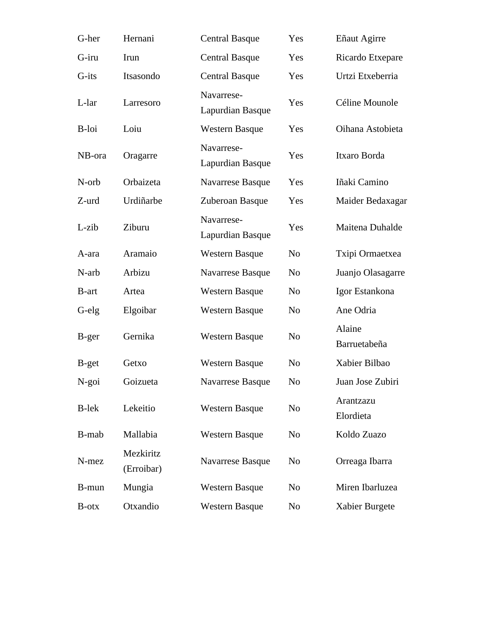| G-her        | Hernani                 | <b>Central Basque</b>          | Yes            | Eñaut Agirre           |
|--------------|-------------------------|--------------------------------|----------------|------------------------|
| G-iru        | Irun                    | <b>Central Basque</b>          | Yes            | Ricardo Etxepare       |
| G-its        | Itsasondo               | <b>Central Basque</b>          | Yes            | Urtzi Etxeberria       |
| L-lar        | Larresoro               | Navarrese-<br>Lapurdian Basque | Yes            | Céline Mounole         |
| B-loi        | Loiu                    | <b>Western Basque</b>          | Yes            | Oihana Astobieta       |
| NB-ora       | Oragarre                | Navarrese-<br>Lapurdian Basque | Yes            | Itxaro Borda           |
| N-orb        | Orbaizeta               | Navarrese Basque               | Yes            | Iñaki Camino           |
| Z-urd        | Urdiñarbe               | Zuberoan Basque                | Yes            | Maider Bedaxagar       |
| L-zib        | Ziburu                  | Navarrese-<br>Lapurdian Basque | Yes            | Maitena Duhalde        |
| A-ara        | Aramaio                 | <b>Western Basque</b>          | N <sub>o</sub> | Txipi Ormaetxea        |
| N-arb        | Arbizu                  | Navarrese Basque               | N <sub>o</sub> | Juanjo Olasagarre      |
| B-art        | Artea                   | <b>Western Basque</b>          | N <sub>o</sub> | Igor Estankona         |
| G-elg        | Elgoibar                | <b>Western Basque</b>          | N <sub>o</sub> | Ane Odria              |
| B-ger        | Gernika                 | <b>Western Basque</b>          | N <sub>o</sub> | Alaine<br>Barruetabeña |
| B-get        | Getxo                   | <b>Western Basque</b>          | N <sub>o</sub> | Xabier Bilbao          |
| N-goi        | Goizueta                | Navarrese Basque               | N <sub>o</sub> | Juan Jose Zubiri       |
| <b>B-lek</b> | Lekeitio                | <b>Western Basque</b>          | N <sub>o</sub> | Arantzazu<br>Elordieta |
| B-mab        | Mallabia                | <b>Western Basque</b>          | N <sub>o</sub> | Koldo Zuazo            |
| N-mez        | Mezkiritz<br>(Erroibar) | Navarrese Basque               | N <sub>o</sub> | Orreaga Ibarra         |
| B-mun        | Mungia                  | <b>Western Basque</b>          | N <sub>o</sub> | Miren Ibarluzea        |
| <b>B-otx</b> | Otxandio                | <b>Western Basque</b>          | No             | Xabier Burgete         |